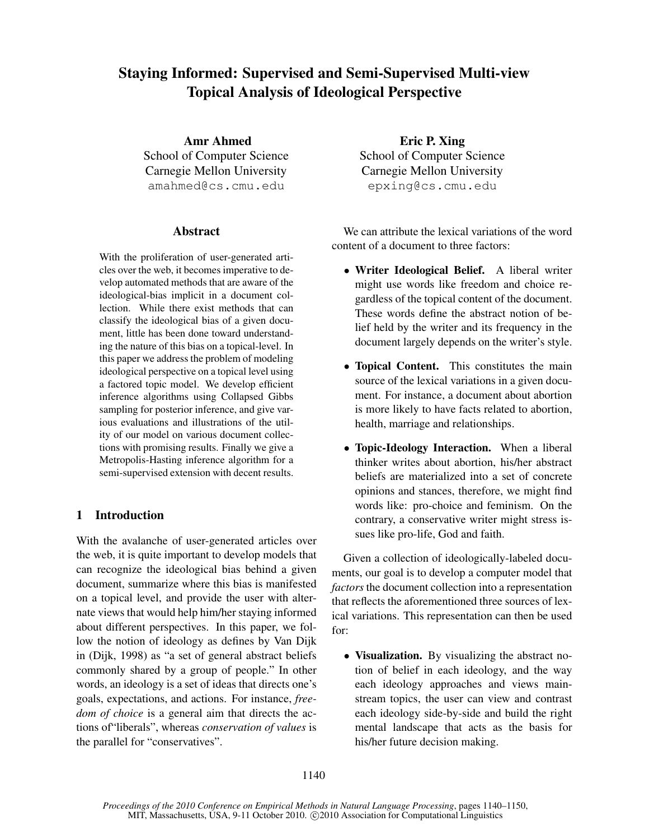# Staying Informed: Supervised and Semi-Supervised Multi-view Topical Analysis of Ideological Perspective

Amr Ahmed School of Computer Science Carnegie Mellon University amahmed@cs.cmu.edu

## Abstract

With the proliferation of user-generated articles over the web, it becomes imperative to develop automated methods that are aware of the ideological-bias implicit in a document collection. While there exist methods that can classify the ideological bias of a given document, little has been done toward understanding the nature of this bias on a topical-level. In this paper we address the problem of modeling ideological perspective on a topical level using a factored topic model. We develop efficient inference algorithms using Collapsed Gibbs sampling for posterior inference, and give various evaluations and illustrations of the utility of our model on various document collections with promising results. Finally we give a Metropolis-Hasting inference algorithm for a semi-supervised extension with decent results.

# 1 Introduction

With the avalanche of user-generated articles over the web, it is quite important to develop models that can recognize the ideological bias behind a given document, summarize where this bias is manifested on a topical level, and provide the user with alternate views that would help him/her staying informed about different perspectives. In this paper, we follow the notion of ideology as defines by Van Dijk in (Dijk, 1998) as "a set of general abstract beliefs commonly shared by a group of people." In other words, an ideology is a set of ideas that directs one's goals, expectations, and actions. For instance, *freedom of choice* is a general aim that directs the actions of"liberals", whereas *conservation of values* is the parallel for "conservatives".

Eric P. Xing School of Computer Science Carnegie Mellon University epxing@cs.cmu.edu

We can attribute the lexical variations of the word content of a document to three factors:

- Writer Ideological Belief. A liberal writer might use words like freedom and choice regardless of the topical content of the document. These words define the abstract notion of belief held by the writer and its frequency in the document largely depends on the writer's style.
- Topical Content. This constitutes the main source of the lexical variations in a given document. For instance, a document about abortion is more likely to have facts related to abortion, health, marriage and relationships.
- Topic-Ideology Interaction. When a liberal thinker writes about abortion, his/her abstract beliefs are materialized into a set of concrete opinions and stances, therefore, we might find words like: pro-choice and feminism. On the contrary, a conservative writer might stress issues like pro-life, God and faith.

Given a collection of ideologically-labeled documents, our goal is to develop a computer model that *factors* the document collection into a representation that reflects the aforementioned three sources of lexical variations. This representation can then be used for:

• Visualization. By visualizing the abstract notion of belief in each ideology, and the way each ideology approaches and views mainstream topics, the user can view and contrast each ideology side-by-side and build the right mental landscape that acts as the basis for his/her future decision making.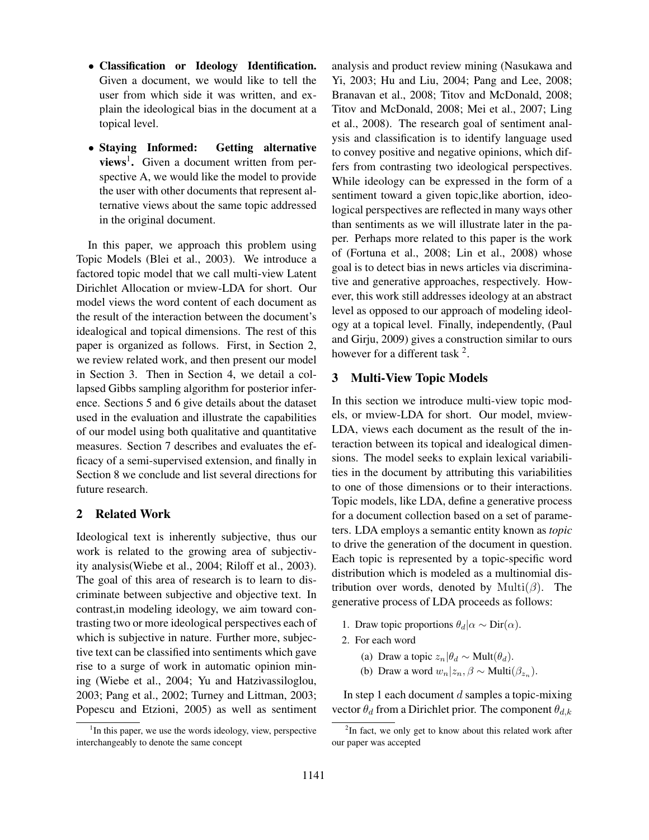- Classification or Ideology Identification. Given a document, we would like to tell the user from which side it was written, and explain the ideological bias in the document at a topical level.
- Staying Informed: Getting alternative views<sup>1</sup>. Given a document written from perspective A, we would like the model to provide the user with other documents that represent alternative views about the same topic addressed in the original document.

In this paper, we approach this problem using Topic Models (Blei et al., 2003). We introduce a factored topic model that we call multi-view Latent Dirichlet Allocation or mview-LDA for short. Our model views the word content of each document as the result of the interaction between the document's idealogical and topical dimensions. The rest of this paper is organized as follows. First, in Section 2, we review related work, and then present our model in Section 3. Then in Section 4, we detail a collapsed Gibbs sampling algorithm for posterior inference. Sections 5 and 6 give details about the dataset used in the evaluation and illustrate the capabilities of our model using both qualitative and quantitative measures. Section 7 describes and evaluates the efficacy of a semi-supervised extension, and finally in Section 8 we conclude and list several directions for future research.

# 2 Related Work

Ideological text is inherently subjective, thus our work is related to the growing area of subjectivity analysis(Wiebe et al., 2004; Riloff et al., 2003). The goal of this area of research is to learn to discriminate between subjective and objective text. In contrast,in modeling ideology, we aim toward contrasting two or more ideological perspectives each of which is subjective in nature. Further more, subjective text can be classified into sentiments which gave rise to a surge of work in automatic opinion mining (Wiebe et al., 2004; Yu and Hatzivassiloglou, 2003; Pang et al., 2002; Turney and Littman, 2003; Popescu and Etzioni, 2005) as well as sentiment analysis and product review mining (Nasukawa and Yi, 2003; Hu and Liu, 2004; Pang and Lee, 2008; Branavan et al., 2008; Titov and McDonald, 2008; Titov and McDonald, 2008; Mei et al., 2007; Ling et al., 2008). The research goal of sentiment analysis and classification is to identify language used to convey positive and negative opinions, which differs from contrasting two ideological perspectives. While ideology can be expressed in the form of a sentiment toward a given topic,like abortion, ideological perspectives are reflected in many ways other than sentiments as we will illustrate later in the paper. Perhaps more related to this paper is the work of (Fortuna et al., 2008; Lin et al., 2008) whose goal is to detect bias in news articles via discriminative and generative approaches, respectively. However, this work still addresses ideology at an abstract level as opposed to our approach of modeling ideology at a topical level. Finally, independently, (Paul and Girju, 2009) gives a construction similar to ours however for a different task  $2$ .

# 3 Multi-View Topic Models

In this section we introduce multi-view topic models, or mview-LDA for short. Our model, mview-LDA, views each document as the result of the interaction between its topical and idealogical dimensions. The model seeks to explain lexical variabilities in the document by attributing this variabilities to one of those dimensions or to their interactions. Topic models, like LDA, define a generative process for a document collection based on a set of parameters. LDA employs a semantic entity known as *topic* to drive the generation of the document in question. Each topic is represented by a topic-specific word distribution which is modeled as a multinomial distribution over words, denoted by Multi $(\beta)$ . The generative process of LDA proceeds as follows:

- 1. Draw topic proportions  $\theta_d | \alpha \sim \text{Dir}(\alpha)$ .
- 2. For each word
	- (a) Draw a topic  $z_n|\theta_d \sim \text{Mult}(\theta_d)$ .
	- (b) Draw a word  $w_n | z_n, \beta \sim \text{Multi}(\beta_{z_n}).$

In step 1 each document  $d$  samples a topic-mixing vector  $\theta_d$  from a Dirichlet prior. The component  $\theta_{d,k}$ 

<sup>&</sup>lt;sup>1</sup>In this paper, we use the words ideology, view, perspective interchangeably to denote the same concept

<sup>&</sup>lt;sup>2</sup>In fact, we only get to know about this related work after our paper was accepted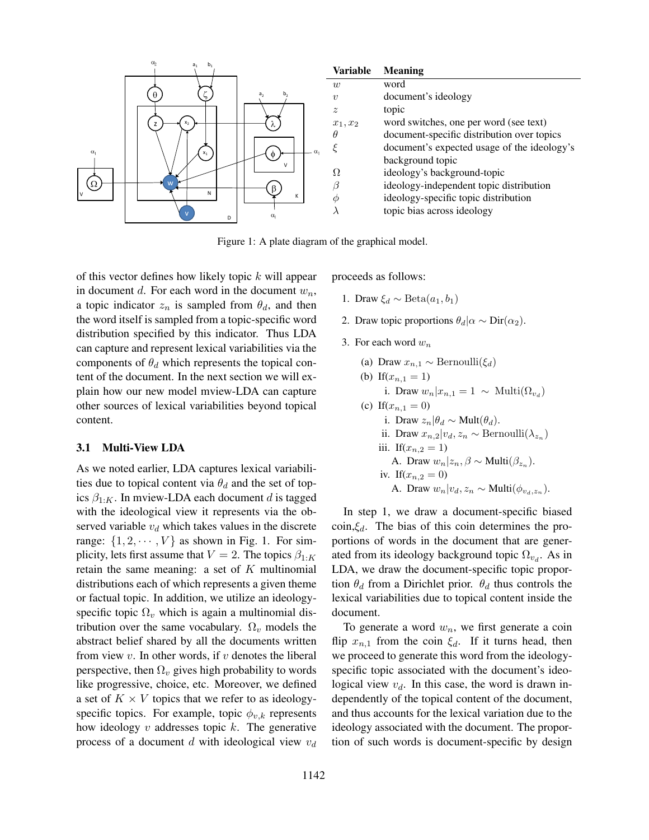

Figure 1: A plate diagram of the graphical model.

of this vector defines how likely topic k will appear in document d. For each word in the document  $w_n$ , a topic indicator  $z_n$  is sampled from  $\theta_d$ , and then the word itself is sampled from a topic-specific word distribution specified by this indicator. Thus LDA can capture and represent lexical variabilities via the components of  $\theta_d$  which represents the topical content of the document. In the next section we will explain how our new model mview-LDA can capture other sources of lexical variabilities beyond topical content.

#### 3.1 Multi-View LDA

As we noted earlier, LDA captures lexical variabilities due to topical content via  $\theta_d$  and the set of topics  $\beta_{1:K}$ . In mview-LDA each document d is tagged with the ideological view it represents via the observed variable  $v_d$  which takes values in the discrete range:  $\{1, 2, \dots, V\}$  as shown in Fig. 1. For simplicity, lets first assume that  $V = 2$ . The topics  $\beta_{1:K}$ retain the same meaning: a set of  $K$  multinomial distributions each of which represents a given theme or factual topic. In addition, we utilize an ideologyspecific topic  $\Omega_v$  which is again a multinomial distribution over the same vocabulary.  $\Omega_v$  models the abstract belief shared by all the documents written from view  $v$ . In other words, if  $v$  denotes the liberal perspective, then  $\Omega_v$  gives high probability to words like progressive, choice, etc. Moreover, we defined a set of  $K \times V$  topics that we refer to as ideologyspecific topics. For example, topic  $\phi_{v,k}$  represents how ideology  $v$  addresses topic  $k$ . The generative process of a document d with ideological view  $v_d$ 

proceeds as follows:

- 1. Draw  $\xi_d \sim \text{Beta}(a_1, b_1)$
- 2. Draw topic proportions  $\theta_d | \alpha \sim \text{Dir}(\alpha_2)$ .
- 3. For each word  $w_n$

\n- (a) Draw 
$$
x_{n,1} \sim \text{Bernoulli}(\xi_d)
$$
\n- (b) If  $(x_{n,1} = 1)$
\n- i. Draw  $w_n | x_{n,1} = 1 \sim \text{Multi}(\Omega_{v_d})$
\n- (c) If  $(x_{n,1} = 0)$
\n- i. Draw  $z_n | \theta_d \sim \text{Multi}(\theta_d)$ .
\n- ii. Draw  $x_{n,2} | v_d, z_n \sim \text{Bernoulli}(\lambda_{z_n})$
\n- iii. If  $(x_{n,2} = 1)$
\n- A. Draw  $w_n | z_n, \beta \sim \text{Multi}(\beta_{z_n})$ .
\n- iv. If  $(x_{n,2} = 0)$
\n- A. Draw  $w_n | v_d, z_n \sim \text{Multi}(\phi_{v_d, z_n})$ .
\n

In step 1, we draw a document-specific biased  $\text{coin}, \xi_d$ . The bias of this coin determines the proportions of words in the document that are generated from its ideology background topic  $\Omega_{v_d}$ . As in LDA, we draw the document-specific topic proportion  $\theta_d$  from a Dirichlet prior.  $\theta_d$  thus controls the lexical variabilities due to topical content inside the document.

To generate a word  $w_n$ , we first generate a coin flip  $x_{n,1}$  from the coin  $\xi_d$ . If it turns head, then we proceed to generate this word from the ideologyspecific topic associated with the document's ideological view  $v_d$ . In this case, the word is drawn independently of the topical content of the document, and thus accounts for the lexical variation due to the ideology associated with the document. The proportion of such words is document-specific by design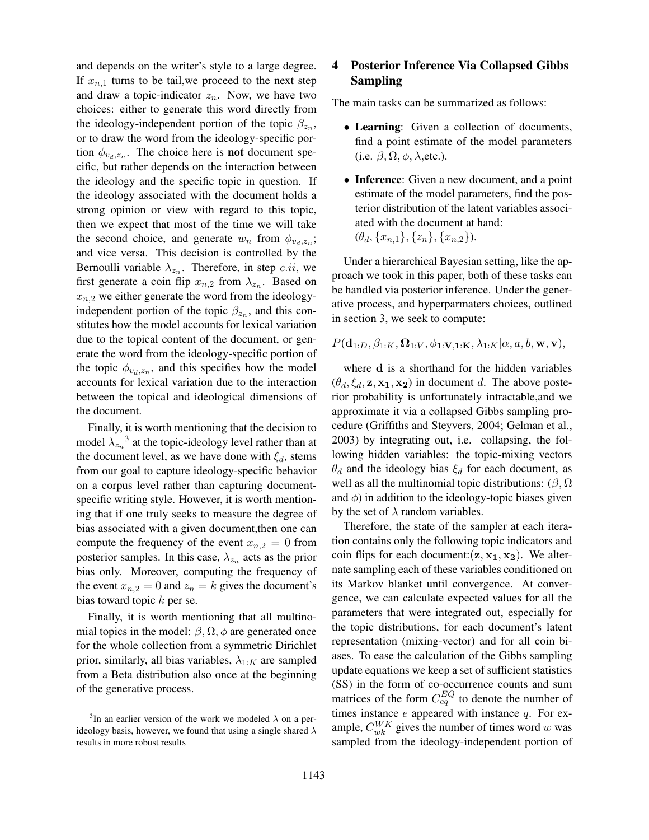and depends on the writer's style to a large degree. If  $x_{n,1}$  turns to be tail, we proceed to the next step and draw a topic-indicator  $z_n$ . Now, we have two choices: either to generate this word directly from the ideology-independent portion of the topic  $\beta_{z_n}$ , or to draw the word from the ideology-specific portion  $\phi_{v_d,z_n}$ . The choice here is **not** document specific, but rather depends on the interaction between the ideology and the specific topic in question. If the ideology associated with the document holds a strong opinion or view with regard to this topic, then we expect that most of the time we will take the second choice, and generate  $w_n$  from  $\phi_{v_d,z_n}$ ; and vice versa. This decision is controlled by the Bernoulli variable  $\lambda_{z_n}$ . Therefore, in step *c.ii*, we first generate a coin flip  $x_{n,2}$  from  $\lambda_{z_n}$ . Based on  $x_{n,2}$  we either generate the word from the ideologyindependent portion of the topic  $\beta_{z_n}$ , and this constitutes how the model accounts for lexical variation due to the topical content of the document, or generate the word from the ideology-specific portion of the topic  $\phi_{v_d,z_n}$ , and this specifies how the model accounts for lexical variation due to the interaction between the topical and ideological dimensions of the document.

Finally, it is worth mentioning that the decision to model  $\lambda_{z_n}^3$  at the topic-ideology level rather than at the document level, as we have done with  $\xi_d$ , stems from our goal to capture ideology-specific behavior on a corpus level rather than capturing documentspecific writing style. However, it is worth mentioning that if one truly seeks to measure the degree of bias associated with a given document,then one can compute the frequency of the event  $x_{n,2} = 0$  from posterior samples. In this case,  $\lambda_{z_n}$  acts as the prior bias only. Moreover, computing the frequency of the event  $x_{n,2} = 0$  and  $z_n = k$  gives the document's bias toward topic  $k$  per se.

Finally, it is worth mentioning that all multinomial topics in the model:  $\beta$ ,  $\Omega$ ,  $\phi$  are generated once for the whole collection from a symmetric Dirichlet prior, similarly, all bias variables,  $\lambda_{1:K}$  are sampled from a Beta distribution also once at the beginning of the generative process.

# 4 Posterior Inference Via Collapsed Gibbs Sampling

The main tasks can be summarized as follows:

- Learning: Given a collection of documents, find a point estimate of the model parameters (i.e.  $\beta$ ,  $\Omega$ ,  $\phi$ ,  $\lambda$ , etc.).
- Inference: Given a new document, and a point estimate of the model parameters, find the posterior distribution of the latent variables associated with the document at hand:  $(\theta_d, \{x_{n,1}\}, \{z_n\}, \{x_{n,2}\}).$

Under a hierarchical Bayesian setting, like the approach we took in this paper, both of these tasks can be handled via posterior inference. Under the generative process, and hyperparmaters choices, outlined in section 3, we seek to compute:

$$
P(\mathbf{d}_{1:D},\beta_{1:K},\mathbf{\Omega}_{1:V},\phi_{1:\mathbf{V},\mathbf{1:K}},\lambda_{1:K}|\alpha,a,b,\mathbf{w},\mathbf{v}),
$$

where d is a shorthand for the hidden variables  $(\theta_d, \xi_d, \mathbf{z}, \mathbf{x_1}, \mathbf{x_2})$  in document d. The above posterior probability is unfortunately intractable,and we approximate it via a collapsed Gibbs sampling procedure (Griffiths and Steyvers, 2004; Gelman et al., 2003) by integrating out, i.e. collapsing, the following hidden variables: the topic-mixing vectors  $\theta_d$  and the ideology bias  $\xi_d$  for each document, as well as all the multinomial topic distributions:  $(\beta, \Omega)$ and  $\phi$ ) in addition to the ideology-topic biases given by the set of  $\lambda$  random variables.

Therefore, the state of the sampler at each iteration contains only the following topic indicators and coin flips for each document:  $(z, x_1, x_2)$ . We alternate sampling each of these variables conditioned on its Markov blanket until convergence. At convergence, we can calculate expected values for all the parameters that were integrated out, especially for the topic distributions, for each document's latent representation (mixing-vector) and for all coin biases. To ease the calculation of the Gibbs sampling update equations we keep a set of sufficient statistics (SS) in the form of co-occurrence counts and sum matrices of the form  $C_{eq}^{EQ}$  to denote the number of times instance  $e$  appeared with instance  $q$ . For example,  $C_{wk}^{WK}$  gives the number of times word w was sampled from the ideology-independent portion of

<sup>&</sup>lt;sup>3</sup>In an earlier version of the work we modeled  $\lambda$  on a perideology basis, however, we found that using a single shared  $\lambda$ results in more robust results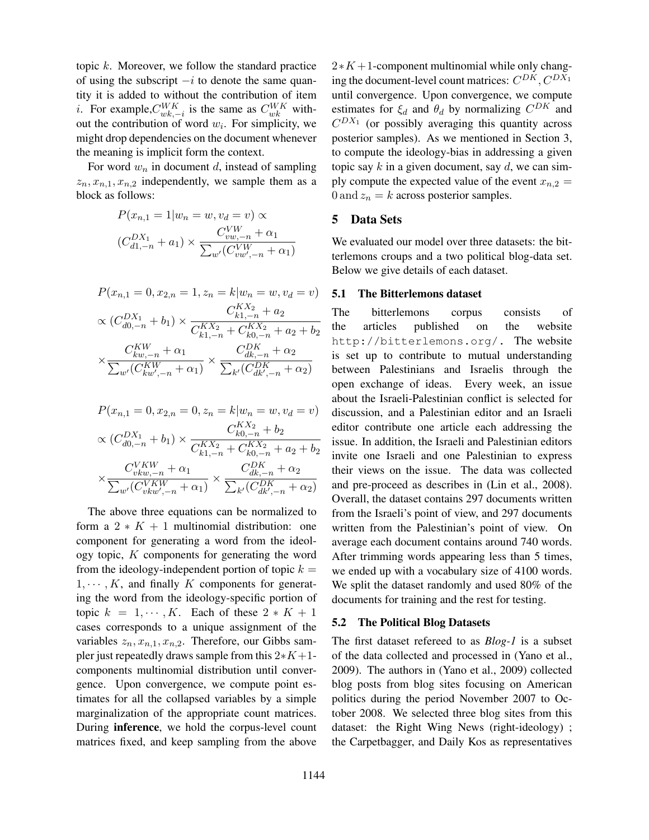topic k. Moreover, we follow the standard practice of using the subscript  $-i$  to denote the same quantity it is added to without the contribution of item *i*. For example,  $C_{wk,-i}^{WK}$  is the same as  $C_{wk}^{WK}$  without the contribution of word  $w_i$ . For simplicity, we might drop dependencies on the document whenever the meaning is implicit form the context.

For word  $w_n$  in document d, instead of sampling  $z_n, x_{n,1}, x_{n,2}$  independently, we sample them as a block as follows:

$$
P(x_{n,1} = 1 | w_n = w, v_d = v) \propto
$$
  

$$
(C_{d1,-n}^{DX_1} + a_1) \times \frac{C_{vw,-n}^{VW} + \alpha_1}{\sum_{w'} (C_{vw',-n}^{VW} + \alpha_1)}
$$

$$
P(x_{n,1} = 0, x_{2,n} = 1, z_n = k | w_n = w, v_d = v)
$$
  

$$
\propto (C_{d0,-n}^{DX_1} + b_1) \times \frac{C_{k1,-n}^{K X_2} + a_2}{C_{k1,-n}^{K X_2} + C_{k0,-n}^{K X_2} + a_2 + b_2}
$$
  

$$
\times \frac{C_{kw,-n}^{KW} + \alpha_1}{\sum_{w'} (C_{kw',-n}^{KW} + \alpha_1)} \times \frac{C_{dk,-n}^{DK} + \alpha_2}{\sum_{k'} (C_{dk',-n}^{DK} + \alpha_2)}
$$

$$
P(x_{n,1} = 0, x_{2,n} = 0, z_n = k | w_n = w, v_d = v)
$$
  

$$
\propto (C_{d0,-n}^{DX_1} + b_1) \times \frac{C_{k0,-n}^{KX_2} + b_2}{C_{k1,-n}^{KX_2} + C_{k0,-n}^{KX_2} + a_2 + b_2}
$$
  

$$
\times \frac{C_{vkw,-n}^{VKW} + \alpha_1}{\sum_{w'} (C_{vkw',-n}^{VKW} + \alpha_1)} \times \frac{C_{dk,-n}^{DK} + \alpha_2}{\sum_{k'} (C_{dk',-n}^{DK} + \alpha_2)}
$$

The above three equations can be normalized to form a  $2 * K + 1$  multinomial distribution: one component for generating a word from the ideology topic, K components for generating the word from the ideology-independent portion of topic  $k =$  $1, \dots, K$ , and finally K components for generating the word from the ideology-specific portion of topic  $k = 1, \dots, K$ . Each of these  $2 * K + 1$ cases corresponds to a unique assignment of the variables  $z_n, x_{n,1}, x_{n,2}$ . Therefore, our Gibbs sampler just repeatedly draws sample from this  $2*K+1$ components multinomial distribution until convergence. Upon convergence, we compute point estimates for all the collapsed variables by a simple marginalization of the appropriate count matrices. During inference, we hold the corpus-level count matrices fixed, and keep sampling from the above

 $2*K + 1$ -component multinomial while only changing the document-level count matrices:  $C^{DK}$ ,  $C^{DX_1}$ until convergence. Upon convergence, we compute estimates for  $\xi_d$  and  $\theta_d$  by normalizing  $C^{DK}$  and  $C^{DX_1}$  (or possibly averaging this quantity across posterior samples). As we mentioned in Section 3, to compute the ideology-bias in addressing a given topic say  $k$  in a given document, say  $d$ , we can simply compute the expected value of the event  $x_{n,2} =$ 0 and  $z_n = k$  across posterior samples.

## 5 Data Sets

We evaluated our model over three datasets: the bitterlemons croups and a two political blog-data set. Below we give details of each dataset.

#### 5.1 The Bitterlemons dataset

The bitterlemons corpus consists of the articles published on the website http://bitterlemons.org/. The website is set up to contribute to mutual understanding between Palestinians and Israelis through the open exchange of ideas. Every week, an issue about the Israeli-Palestinian conflict is selected for discussion, and a Palestinian editor and an Israeli editor contribute one article each addressing the issue. In addition, the Israeli and Palestinian editors invite one Israeli and one Palestinian to express their views on the issue. The data was collected and pre-proceed as describes in (Lin et al., 2008). Overall, the dataset contains 297 documents written from the Israeli's point of view, and 297 documents written from the Palestinian's point of view. On average each document contains around 740 words. After trimming words appearing less than 5 times, we ended up with a vocabulary size of 4100 words. We split the dataset randomly and used 80% of the documents for training and the rest for testing.

## 5.2 The Political Blog Datasets

The first dataset refereed to as *Blog-1* is a subset of the data collected and processed in (Yano et al., 2009). The authors in (Yano et al., 2009) collected blog posts from blog sites focusing on American politics during the period November 2007 to October 2008. We selected three blog sites from this dataset: the Right Wing News (right-ideology) ; the Carpetbagger, and Daily Kos as representatives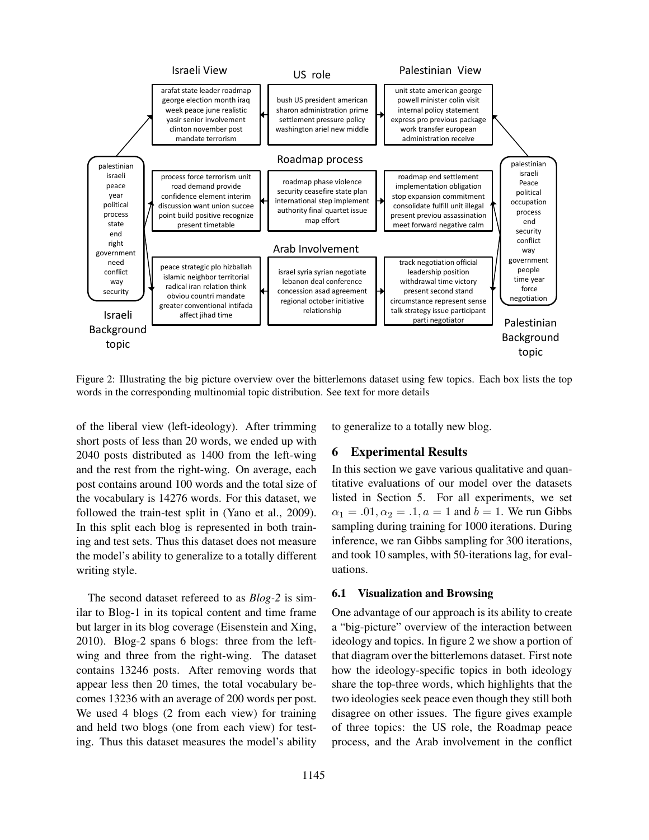

Figure 2: Illustrating the big picture overview over the bitterlemons dataset using few topics. Each box lists the top words in the corresponding multinomial topic distribution. See text for more details

of the liberal view (left-ideology). After trimming short posts of less than 20 words, we ended up with 2040 posts distributed as 1400 from the left-wing and the rest from the right-wing. On average, each post contains around 100 words and the total size of the vocabulary is 14276 words. For this dataset, we followed the train-test split in (Yano et al., 2009). In this split each blog is represented in both training and test sets. Thus this dataset does not measure the model's ability to generalize to a totally different writing style.

The second dataset refereed to as *Blog-2* is similar to Blog-1 in its topical content and time frame but larger in its blog coverage (Eisenstein and Xing, 2010). Blog-2 spans 6 blogs: three from the leftwing and three from the right-wing. The dataset contains 13246 posts. After removing words that appear less then 20 times, the total vocabulary becomes 13236 with an average of 200 words per post. We used 4 blogs (2 from each view) for training and held two blogs (one from each view) for testing. Thus this dataset measures the model's ability

to generalize to a totally new blog.

# 6 Experimental Results

In this section we gave various qualitative and quantitative evaluations of our model over the datasets listed in Section 5. For all experiments, we set  $\alpha_1 = .01, \alpha_2 = .1, a = 1$  and  $b = 1$ . We run Gibbs sampling during training for 1000 iterations. During inference, we ran Gibbs sampling for 300 iterations, and took 10 samples, with 50-iterations lag, for evaluations.

## 6.1 Visualization and Browsing

One advantage of our approach is its ability to create a "big-picture" overview of the interaction between ideology and topics. In figure 2 we show a portion of that diagram over the bitterlemons dataset. First note how the ideology-specific topics in both ideology share the top-three words, which highlights that the two ideologies seek peace even though they still both disagree on other issues. The figure gives example of three topics: the US role, the Roadmap peace process, and the Arab involvement in the conflict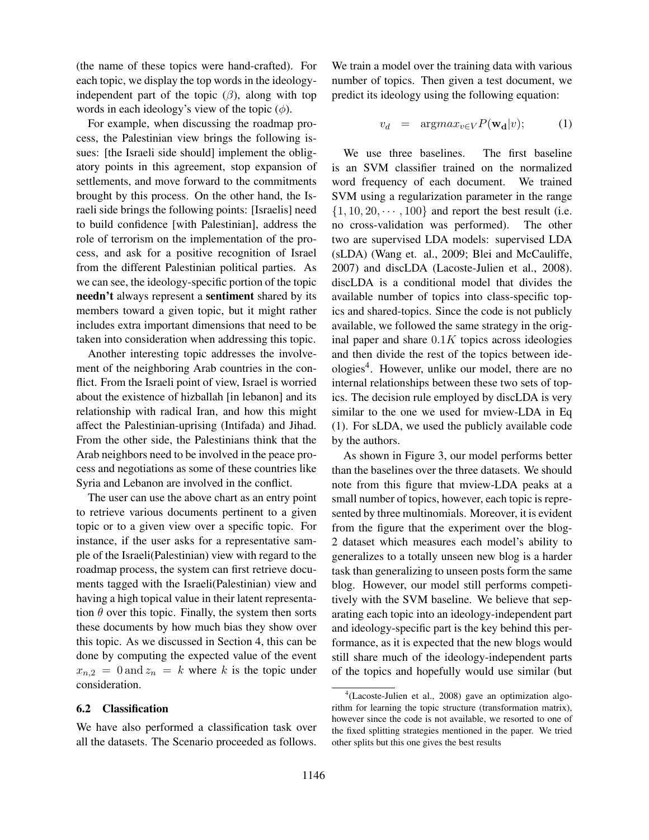(the name of these topics were hand-crafted). For each topic, we display the top words in the ideologyindependent part of the topic  $(\beta)$ , along with top words in each ideology's view of the topic  $(\phi)$ .

For example, when discussing the roadmap process, the Palestinian view brings the following issues: [the Israeli side should] implement the obligatory points in this agreement, stop expansion of settlements, and move forward to the commitments brought by this process. On the other hand, the Israeli side brings the following points: [Israelis] need to build confidence [with Palestinian], address the role of terrorism on the implementation of the process, and ask for a positive recognition of Israel from the different Palestinian political parties. As we can see, the ideology-specific portion of the topic needn't always represent a sentiment shared by its members toward a given topic, but it might rather includes extra important dimensions that need to be taken into consideration when addressing this topic.

Another interesting topic addresses the involvement of the neighboring Arab countries in the conflict. From the Israeli point of view, Israel is worried about the existence of hizballah [in lebanon] and its relationship with radical Iran, and how this might affect the Palestinian-uprising (Intifada) and Jihad. From the other side, the Palestinians think that the Arab neighbors need to be involved in the peace process and negotiations as some of these countries like Syria and Lebanon are involved in the conflict.

The user can use the above chart as an entry point to retrieve various documents pertinent to a given topic or to a given view over a specific topic. For instance, if the user asks for a representative sample of the Israeli(Palestinian) view with regard to the roadmap process, the system can first retrieve documents tagged with the Israeli(Palestinian) view and having a high topical value in their latent representation  $\theta$  over this topic. Finally, the system then sorts these documents by how much bias they show over this topic. As we discussed in Section 4, this can be done by computing the expected value of the event  $x_{n,2} = 0$  and  $z_n = k$  where k is the topic under consideration.

# 6.2 Classification

We have also performed a classification task over all the datasets. The Scenario proceeded as follows. We train a model over the training data with various number of topics. Then given a test document, we predict its ideology using the following equation:

$$
v_d = \text{arg} max_{v \in V} P(\mathbf{w_d}|v); \quad (1)
$$

We use three baselines. The first baseline is an SVM classifier trained on the normalized word frequency of each document. We trained SVM using a regularization parameter in the range  $\{1, 10, 20, \dots, 100\}$  and report the best result (i.e. no cross-validation was performed). The other two are supervised LDA models: supervised LDA (sLDA) (Wang et. al., 2009; Blei and McCauliffe, 2007) and discLDA (Lacoste-Julien et al., 2008). discLDA is a conditional model that divides the available number of topics into class-specific topics and shared-topics. Since the code is not publicly available, we followed the same strategy in the original paper and share  $0.1K$  topics across ideologies and then divide the rest of the topics between ideologies<sup>4</sup>. However, unlike our model, there are no internal relationships between these two sets of topics. The decision rule employed by discLDA is very similar to the one we used for mview-LDA in Eq (1). For sLDA, we used the publicly available code by the authors.

As shown in Figure 3, our model performs better than the baselines over the three datasets. We should note from this figure that mview-LDA peaks at a small number of topics, however, each topic is represented by three multinomials. Moreover, it is evident from the figure that the experiment over the blog-2 dataset which measures each model's ability to generalizes to a totally unseen new blog is a harder task than generalizing to unseen posts form the same blog. However, our model still performs competitively with the SVM baseline. We believe that separating each topic into an ideology-independent part and ideology-specific part is the key behind this performance, as it is expected that the new blogs would still share much of the ideology-independent parts of the topics and hopefully would use similar (but

<sup>4</sup> (Lacoste-Julien et al., 2008) gave an optimization algorithm for learning the topic structure (transformation matrix), however since the code is not available, we resorted to one of the fixed splitting strategies mentioned in the paper. We tried other splits but this one gives the best results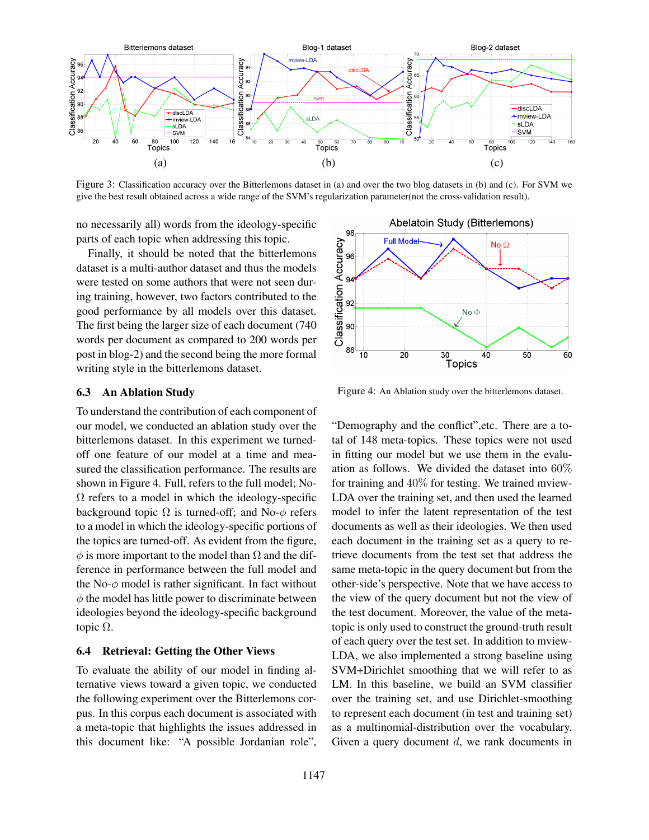

Figure 3: Classification accuracy over the Bitterlemons dataset in (a) and over the two blog datasets in (b) and (c). For SVM we give the best result obtained across a wide range of the SVM's regularization parameter(not the cross-validation result).

no necessarily all) words from the ideology-specific parts of each topic when addressing this topic.

Finally, it should be noted that the bitterlemons dataset is a multi-author dataset and thus the models were tested on some authors that were not seen during training, however, two factors contributed to the good performance by all models over this dataset. The first being the larger size of each document (740 words per document as compared to 200 words per post in blog-2) and the second being the more formal writing style in the bitterlemons dataset.

# 6.3 An Ablation Study

To understand the contribution of each component of our model, we conducted an ablation study over the bitterlemons dataset. In this experiment we turnedoff one feature of our model at a time and measured the classification performance. The results are shown in Figure 4. Full, refers to the full model; No- $\Omega$  refers to a model in which the ideology-specific background topic  $\Omega$  is turned-off; and No- $\phi$  refers to a model in which the ideology-specific portions of the topics are turned-off. As evident from the figure,  $\phi$  is more important to the model than  $\Omega$  and the difference in performance between the full model and the No- $\phi$  model is rather significant. In fact without  $\phi$  the model has little power to discriminate between ideologies beyond the ideology-specific background topic  $Ω$ .

#### 6.4 Retrieval: Getting the Other Views

To evaluate the ability of our model in finding alternative views toward a given topic, we conducted the following experiment over the Bitterlemons corpus. In this corpus each document is associated with a meta-topic that highlights the issues addressed in this document like: "A possible Jordanian role",



Figure 4: An Ablation study over the bitterlemons dataset.

"Demography and the conflict",etc. There are a total of 148 meta-topics. These topics were not used in fitting our model but we use them in the evaluation as follows. We divided the dataset into 60% for training and 40% for testing. We trained mview-LDA over the training set, and then used the learned model to infer the latent representation of the test documents as well as their ideologies. We then used each document in the training set as a query to retrieve documents from the test set that address the same meta-topic in the query document but from the other-side's perspective. Note that we have access to the view of the query document but not the view of the test document. Moreover, the value of the metatopic is only used to construct the ground-truth result of each query over the test set. In addition to mview-LDA, we also implemented a strong baseline using SVM+Dirichlet smoothing that we will refer to as LM. In this baseline, we build an SVM classifier over the training set, and use Dirichlet-smoothing to represent each document (in test and training set) as a multinomial-distribution over the vocabulary. Given a query document  $d$ , we rank documents in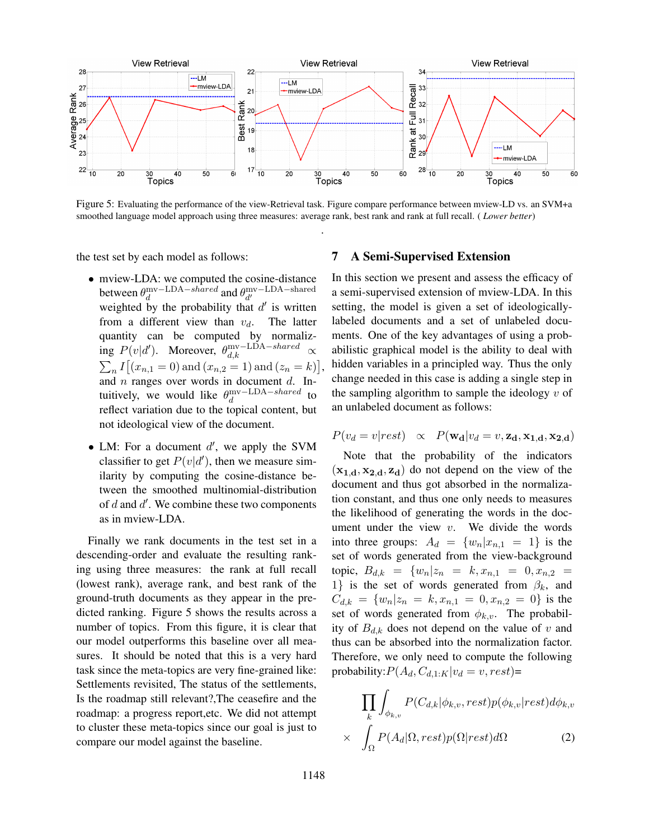

Figure 5: Evaluating the performance of the view-Retrieval task. Figure compare performance between mview-LD vs. an SVM+a smoothed language model approach using three measures: average rank, best rank and rank at full recall. ( *Lower better*) .

,

the test set by each model as follows:

- mview-LDA: we computed the cosine-distance between  $\theta_d^{\text{mv-LDA}-shared}$  $\frac{\text{mv}-\text{LDA}-\text{shared}}{d}$  and  $\theta_{d'}^{\text{mv}-\text{LDA}-\text{shared}}$  $d'$ weighted by the probability that  $d'$  is written from a different view than  $v_d$ . The latter quantity can be computed by normalizing  $P(v|d')$ . Moreover,  $\theta_{d,k}^{\text{mv}-\text{LDA}-shared} \propto$  $\sum_{n} I[(x_{n,1} = 0) \text{ and } (x_{n,2} = 1) \text{ and } (z_n = k)]$ and  $n$  ranges over words in document  $d$ . Intuitively, we would like  $\theta_d^{\text{mv}-\text{LDA}-shared}$  $\frac{1}{d}$  to reflect variation due to the topical content, but not ideological view of the document.
- $\bullet$  LM: For a document  $d'$ , we apply the SVM classifier to get  $P(v|d')$ , then we measure similarity by computing the cosine-distance between the smoothed multinomial-distribution of  $d$  and  $d'$ . We combine these two components as in mview-LDA.

Finally we rank documents in the test set in a descending-order and evaluate the resulting ranking using three measures: the rank at full recall (lowest rank), average rank, and best rank of the ground-truth documents as they appear in the predicted ranking. Figure 5 shows the results across a number of topics. From this figure, it is clear that our model outperforms this baseline over all measures. It should be noted that this is a very hard task since the meta-topics are very fine-grained like: Settlements revisited, The status of the settlements, Is the roadmap still relevant?,The ceasefire and the roadmap: a progress report,etc. We did not attempt to cluster these meta-topics since our goal is just to compare our model against the baseline.

# 7 A Semi-Supervised Extension

In this section we present and assess the efficacy of a semi-supervised extension of mview-LDA. In this setting, the model is given a set of ideologicallylabeled documents and a set of unlabeled documents. One of the key advantages of using a probabilistic graphical model is the ability to deal with hidden variables in a principled way. Thus the only change needed in this case is adding a single step in the sampling algorithm to sample the ideology  $v$  of an unlabeled document as follows:

$$
P(v_d = v | rest) \propto P(\mathbf{w_d} | v_d = v, \mathbf{z_d}, \mathbf{x_{1,d}}, \mathbf{x_{2,d}})
$$

Note that the probability of the indicators  $(x_{1,d}, x_{2,d}, z_d)$  do not depend on the view of the document and thus got absorbed in the normalization constant, and thus one only needs to measures the likelihood of generating the words in the document under the view  $v$ . We divide the words into three groups:  $A_d = \{w_n | x_{n,1} = 1\}$  is the set of words generated from the view-background topic,  $B_{d,k} = \{w_n | z_n = k, x_{n,1} = 0, x_{n,2} = \}$ 1} is the set of words generated from  $\beta_k$ , and  $C_{d,k} = \{w_n | z_n = k, x_{n,1} = 0, x_{n,2} = 0\}$  is the set of words generated from  $\phi_{k,v}$ . The probability of  $B_{d,k}$  does not depend on the value of v and thus can be absorbed into the normalization factor. Therefore, we only need to compute the following probability:  $P(A_d, C_{d,1:K}|v_d = v, rest)$ =

$$
\prod_{k} \int_{\phi_{k,v}} P(C_{d,k}|\phi_{k,v}, rest)p(\phi_{k,v}|rest)d\phi_{k,v}
$$
\n
$$
\times \int_{\Omega} P(A_d|\Omega, rest)p(\Omega|rest)d\Omega \tag{2}
$$

 $\ddot{\phantom{0}}$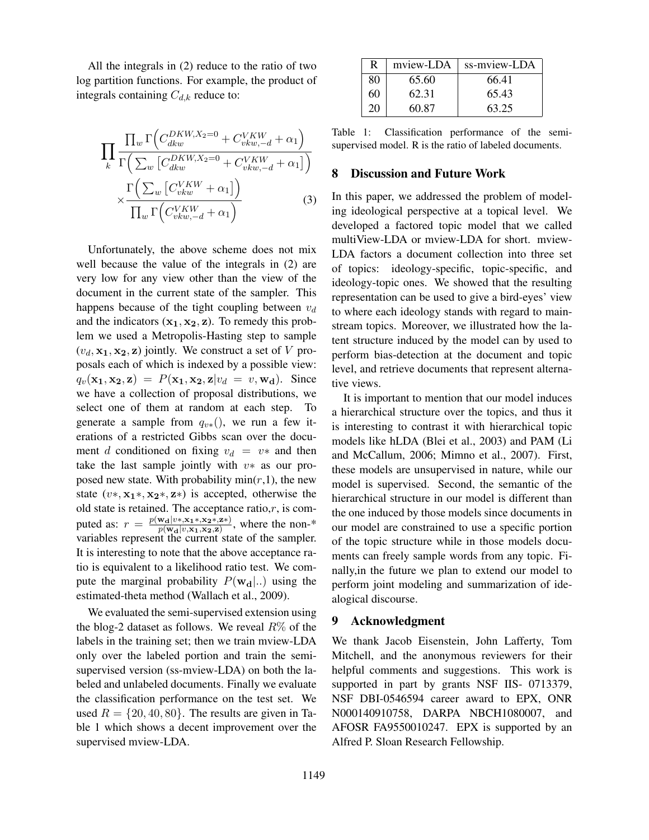All the integrals in (2) reduce to the ratio of two log partition functions. For example, the product of integrals containing  $C_{d,k}$  reduce to:

$$
\prod_{k} \frac{\prod_{w} \Gamma\left(C_{dkw}^{DKW,X_2=0} + C_{vkw,-d}^{VKW} + \alpha_1\right)}{\Gamma\left(\sum_{w} \left[C_{dkw}^{DKW,X_2=0} + C_{vkw,-d}^{VKW} + \alpha_1\right]\right)} \times \frac{\Gamma\left(\sum_{w} \left(C_{vkw}^{VKW} + \alpha_1\right)\right)}{\prod_{w} \Gamma\left(C_{vkw,-d}^{VKW} + \alpha_1\right)} \tag{3}
$$

Unfortunately, the above scheme does not mix well because the value of the integrals in (2) are very low for any view other than the view of the document in the current state of the sampler. This happens because of the tight coupling between  $v_d$ and the indicators  $(x_1, x_2, z)$ . To remedy this problem we used a Metropolis-Hasting step to sample  $(v_d, x_1, x_2, z)$  jointly. We construct a set of V proposals each of which is indexed by a possible view:  $q_v(\mathbf{x_1}, \mathbf{x_2}, \mathbf{z}) = P(\mathbf{x_1}, \mathbf{x_2}, \mathbf{z} | v_d = v, \mathbf{w_d}).$  Since we have a collection of proposal distributions, we select one of them at random at each step. To generate a sample from  $q_{v*}$ (), we run a few iterations of a restricted Gibbs scan over the document d conditioned on fixing  $v_d = v*$  and then take the last sample jointly with  $v*$  as our proposed new state. With probability  $min(r,1)$ , the new state  $(v*, x_1*, x_2*, z*)$  is accepted, otherwise the old state is retained. The acceptance ratio, $r$ , is computed as:  $r = \frac{p(w_d|v*,x_1*,x_2*,z*)}{p(w_d|v*,x_1,x_2,z)}$  $\frac{w_{d} |v^*, \mathbf{x}_1^*, \mathbf{x}_2^*, \mathbf{z}_2^*}{p(w_{d} | v, \mathbf{x}_1, \mathbf{x}_2, \mathbf{z})}$ , where the non-\* variables represent the current state of the sampler. It is interesting to note that the above acceptance ratio is equivalent to a likelihood ratio test. We compute the marginal probability  $P(\mathbf{w}_d|.)$  using the estimated-theta method (Wallach et al., 2009).

We evaluated the semi-supervised extension using the blog-2 dataset as follows. We reveal  $R\%$  of the labels in the training set; then we train mview-LDA only over the labeled portion and train the semisupervised version (ss-mview-LDA) on both the labeled and unlabeled documents. Finally we evaluate the classification performance on the test set. We used  $R = \{20, 40, 80\}$ . The results are given in Table 1 which shows a decent improvement over the supervised mview-LDA.

| R  | mview-LDA | ss-myiew-LDA |
|----|-----------|--------------|
| 80 | 65.60     | 66.41        |
| 60 | 62.31     | 65.43        |
| 20 | 60.87     | 63.25        |

Table 1: Classification performance of the semisupervised model. R is the ratio of labeled documents.

# 8 Discussion and Future Work

In this paper, we addressed the problem of modeling ideological perspective at a topical level. We developed a factored topic model that we called multiView-LDA or mview-LDA for short. mview-LDA factors a document collection into three set of topics: ideology-specific, topic-specific, and ideology-topic ones. We showed that the resulting representation can be used to give a bird-eyes' view to where each ideology stands with regard to mainstream topics. Moreover, we illustrated how the latent structure induced by the model can by used to perform bias-detection at the document and topic level, and retrieve documents that represent alternative views.

It is important to mention that our model induces a hierarchical structure over the topics, and thus it is interesting to contrast it with hierarchical topic models like hLDA (Blei et al., 2003) and PAM (Li and McCallum, 2006; Mimno et al., 2007). First, these models are unsupervised in nature, while our model is supervised. Second, the semantic of the hierarchical structure in our model is different than the one induced by those models since documents in our model are constrained to use a specific portion of the topic structure while in those models documents can freely sample words from any topic. Finally,in the future we plan to extend our model to perform joint modeling and summarization of idealogical discourse.

## 9 Acknowledgment

We thank Jacob Eisenstein, John Lafferty, Tom Mitchell, and the anonymous reviewers for their helpful comments and suggestions. This work is supported in part by grants NSF IIS- 0713379, NSF DBI-0546594 career award to EPX, ONR N000140910758, DARPA NBCH1080007, and AFOSR FA9550010247. EPX is supported by an Alfred P. Sloan Research Fellowship.